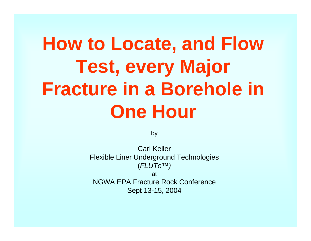## **How to Locate, and Flow Test, every Major Fracture in a Borehole in One Hour**

by

Carl KellerFlexible Liner Underground Technologies (*FLUTe™)* atNGWA EPA Fracture Rock Conference Sept 13-15, 2004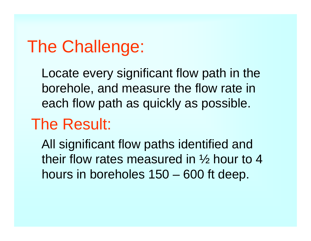## The Challenge:

Locate every significant flow path in the borehole, and measure the flow rate in each flow path as quickly as possible.

#### The Result:

All significant flow paths identified and their flow rates measured in ½ hour to 4 hours in boreholes 150 – 600 ft deep.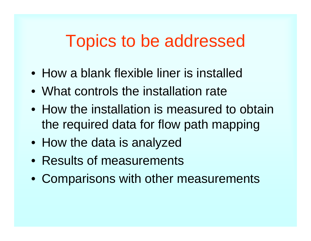### Topics to be addressed

- How a blank flexible liner is installed
- •What controls the installation rate
- How the installation is measured to obtain the required data for flow path mapping
- How the data is analyzed
- •Results of measurements
- Comparisons with other measurements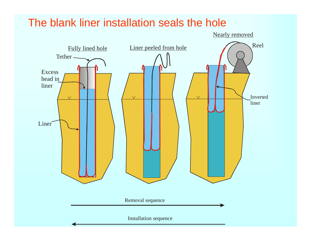#### The blank liner installation seals the hole

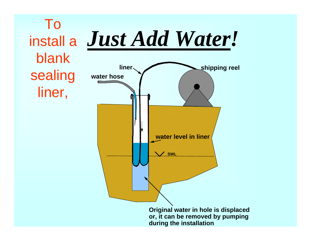

**or, it can be removed by pumping during the installation**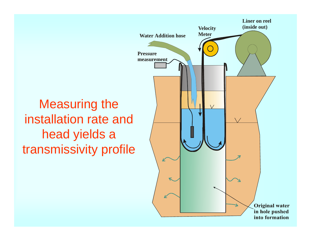Measuring the installation rate and head yields a transmissivity profile

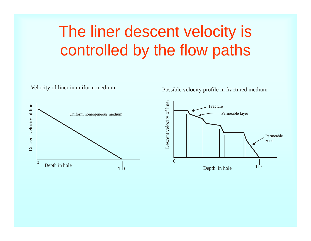#### The liner descent velocity is controlled by the flow paths

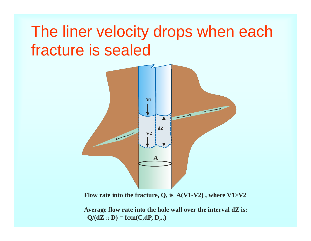#### The liner velocity drops when each fracture is sealed



**Flow rate into the fracture, Q, is**  $A(V1\text{-}V2)$  **, where**  $V1\text{>}V2$ 

Average flow rate into the hole wall over the interval dZ is:  $Q/(dZ \pi D) = fctn(C,dP, D...)$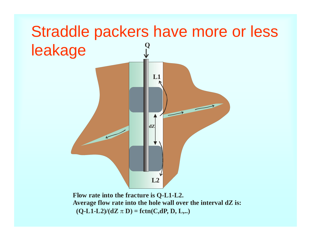# Straddle packers have more or less leakage **dZFlow rate into the fracture is Q-L1-L2. L1L2Q**

Average flow rate into the hole wall over the interval dZ is:  $(Q-L1-L2)/(dZ \pi D) = fctn(C,dP, D, L,...)$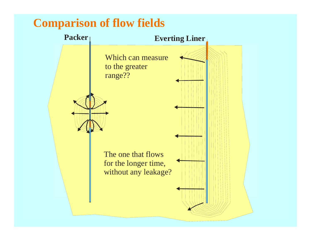#### **Comparison of flow fields**

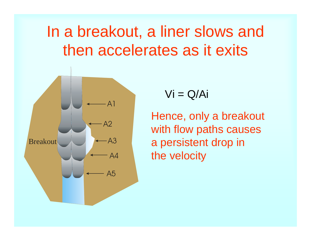#### In a breakout, a liner slows and then accelerates as it exits



 $Vi = Q/Ai$ 

Hence, only a breakout with flow paths causes a persistent drop in the velocity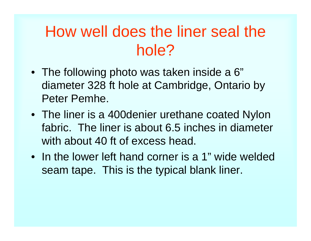#### How well does the liner seal the hole?

- The following photo was taken inside a 6" diameter 328 ft hole at Cambridge, Ontario by Peter Pemhe.
- The liner is a 400denier urethane coated Nylon fabric. The liner is about 6.5 inches in diameter with about 40 ft of excess head.
- In the lower left hand corner is a 1" wide welded seam tape. This is the typical blank liner.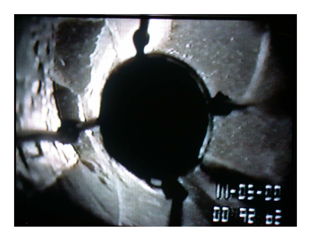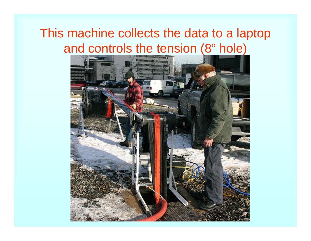#### This machine collects the data to a laptop and controls the tension (8" hole)

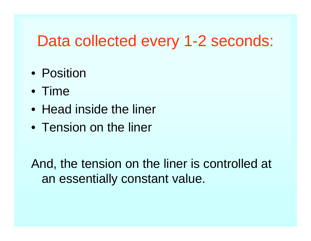#### Data collected every 1-2 seconds:

- •Position
- Time
- Head inside the liner
- Tension on the liner

And, the tension on the liner is controlled at an essentially constant value.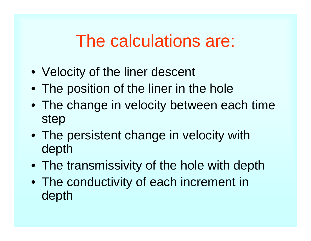#### The calculations are:

- Velocity of the liner descent
- The position of the liner in the hole
- The change in velocity between each time step
- The persistent change in velocity with depth
- The transmissivity of the hole with depth
- The conductivity of each increment in depth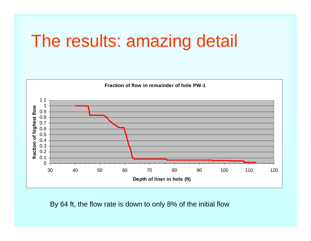### The results: amazing detail



By 64 ft, the flow rate is down to only 8% of the initial flow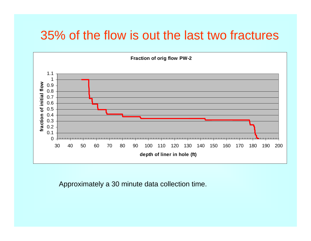#### 35% of the flow is out the last two fractures



#### Approximately a 30 minute data collection time.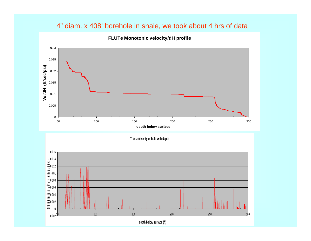#### 4" diam. x 408' borehole in shale, we took about 4 hrs of data

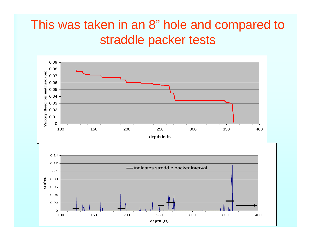#### This was taken in an 8" hole and compared to straddle packer tests

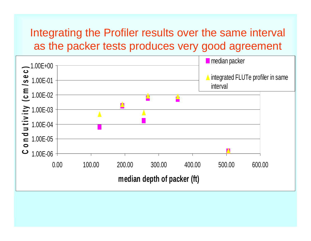#### Integrating the Profiler results over the same interval as the packer tests produces very good agreement

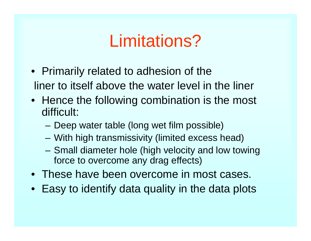## Limitations?

- Primarily related to adhesion of the liner to itself above the water level in the liner
- Hence the following combination is the most difficult:
	- –Deep water table (long wet film possible)
	- **Harry Committee** With high transmissivity (limited excess head)
	- **Harry Committee**  Small diameter hole (high velocity and low towing force to overcome any drag effects)
- These have been overcome in most cases.
- Easy to identify data quality in the data plots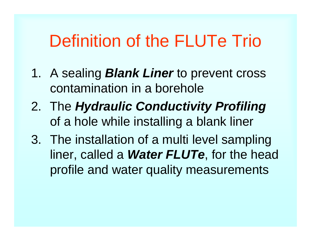## Definition of the FLUTe Trio

- 1. A sealing *Blank Liner* to prevent cross contamination in a borehole
- 2. The *Hydraulic Conductivity Profiling* of a hole while installing a blank liner
- 3. The installation of a multi level sampling liner, called a *Water FLUTe*, for the head profile and water quality measurements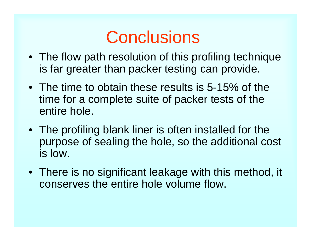### **Conclusions**

- The flow path resolution of this profiling technique is far greater than packer testing can provide.
- The time to obtain these results is 5-15% of the time for a complete suite of packer tests of the entire hole.
- The profiling blank liner is often installed for the purpose of sealing the hole, so the additional cost is low.
- There is no significant leakage with this method, it conserves the entire hole volume flow.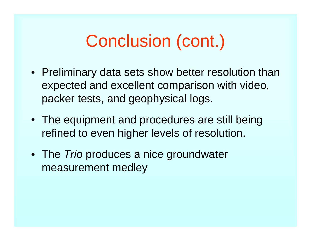## Conclusion (cont.)

- Preliminary data sets show better resolution than expected and excellent comparison with video, packer tests, and geophysical logs.
- The equipment and procedures are still being refined to even higher levels of resolution.
- The *Trio* produces a nice groundwater measurement medley